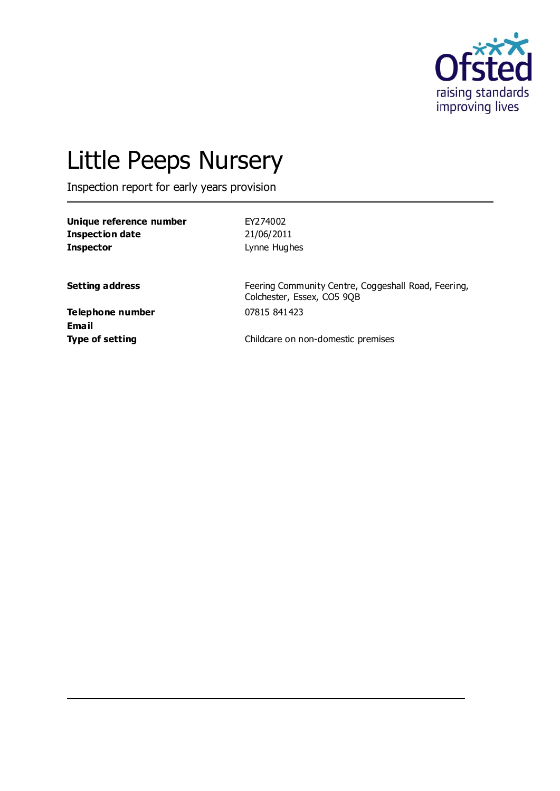

# Little Peeps Nursery

Inspection report for early years provision

| Unique reference number | EY274002     |
|-------------------------|--------------|
| Inspection date         | 21/06/2011   |
| <b>Inspector</b>        | Lynne Hughes |

**Setting address** Feering Community Centre, Coggeshall Road, Feering, Colchester, Essex, CO5 9QB

**Telephone number** 07815 841423 **Email**

**Type of setting** Childcare on non-domestic premises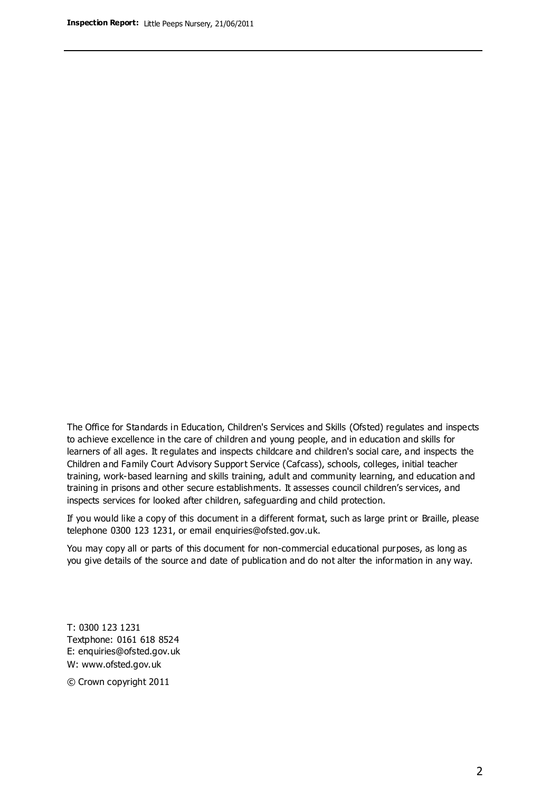The Office for Standards in Education, Children's Services and Skills (Ofsted) regulates and inspects to achieve excellence in the care of children and young people, and in education and skills for learners of all ages. It regulates and inspects childcare and children's social care, and inspects the Children and Family Court Advisory Support Service (Cafcass), schools, colleges, initial teacher training, work-based learning and skills training, adult and community learning, and education and training in prisons and other secure establishments. It assesses council children's services, and inspects services for looked after children, safeguarding and child protection.

If you would like a copy of this document in a different format, such as large print or Braille, please telephone 0300 123 1231, or email enquiries@ofsted.gov.uk.

You may copy all or parts of this document for non-commercial educational purposes, as long as you give details of the source and date of publication and do not alter the information in any way.

T: 0300 123 1231 Textphone: 0161 618 8524 E: enquiries@ofsted.gov.uk W: [www.ofsted.gov.uk](http://www.ofsted.gov.uk/)

© Crown copyright 2011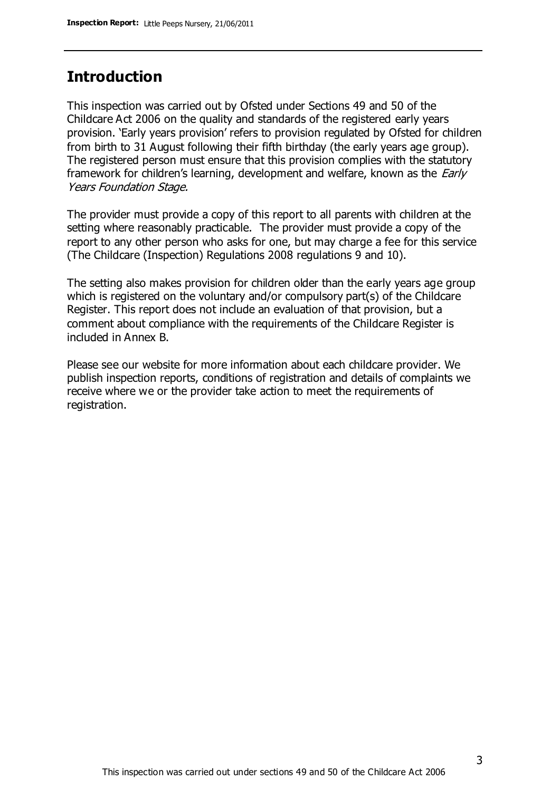## **Introduction**

This inspection was carried out by Ofsted under Sections 49 and 50 of the Childcare Act 2006 on the quality and standards of the registered early years provision. 'Early years provision' refers to provision regulated by Ofsted for children from birth to 31 August following their fifth birthday (the early years age group). The registered person must ensure that this provision complies with the statutory framework for children's learning, development and welfare, known as the *Early* Years Foundation Stage.

The provider must provide a copy of this report to all parents with children at the setting where reasonably practicable. The provider must provide a copy of the report to any other person who asks for one, but may charge a fee for this service (The Childcare (Inspection) Regulations 2008 regulations 9 and 10).

The setting also makes provision for children older than the early years age group which is registered on the voluntary and/or compulsory part(s) of the Childcare Register. This report does not include an evaluation of that provision, but a comment about compliance with the requirements of the Childcare Register is included in Annex B.

Please see our website for more information about each childcare provider. We publish inspection reports, conditions of registration and details of complaints we receive where we or the provider take action to meet the requirements of registration.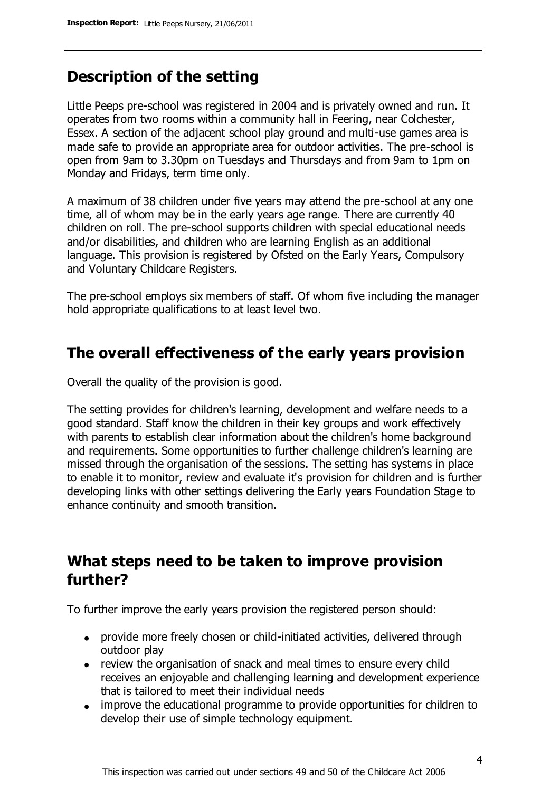# **Description of the setting**

Little Peeps pre-school was registered in 2004 and is privately owned and run. It operates from two rooms within a community hall in Feering, near Colchester, Essex. A section of the adjacent school play ground and multi-use games area is made safe to provide an appropriate area for outdoor activities. The pre-school is open from 9am to 3.30pm on Tuesdays and Thursdays and from 9am to 1pm on Monday and Fridays, term time only.

A maximum of 38 children under five years may attend the pre-school at any one time, all of whom may be in the early years age range. There are currently 40 children on roll. The pre-school supports children with special educational needs and/or disabilities, and children who are learning English as an additional language. This provision is registered by Ofsted on the Early Years, Compulsory and Voluntary Childcare Registers.

The pre-school employs six members of staff. Of whom five including the manager hold appropriate qualifications to at least level two.

## **The overall effectiveness of the early years provision**

Overall the quality of the provision is good.

The setting provides for children's learning, development and welfare needs to a good standard. Staff know the children in their key groups and work effectively with parents to establish clear information about the children's home background and requirements. Some opportunities to further challenge children's learning are missed through the organisation of the sessions. The setting has systems in place to enable it to monitor, review and evaluate it's provision for children and is further developing links with other settings delivering the Early years Foundation Stage to enhance continuity and smooth transition.

## **What steps need to be taken to improve provision further?**

To further improve the early years provision the registered person should:

- provide more freely chosen or child-initiated activities, delivered through outdoor play
- review the organisation of snack and meal times to ensure every child receives an enjoyable and challenging learning and development experience that is tailored to meet their individual needs
- improve the educational programme to provide opportunities for children to develop their use of simple technology equipment.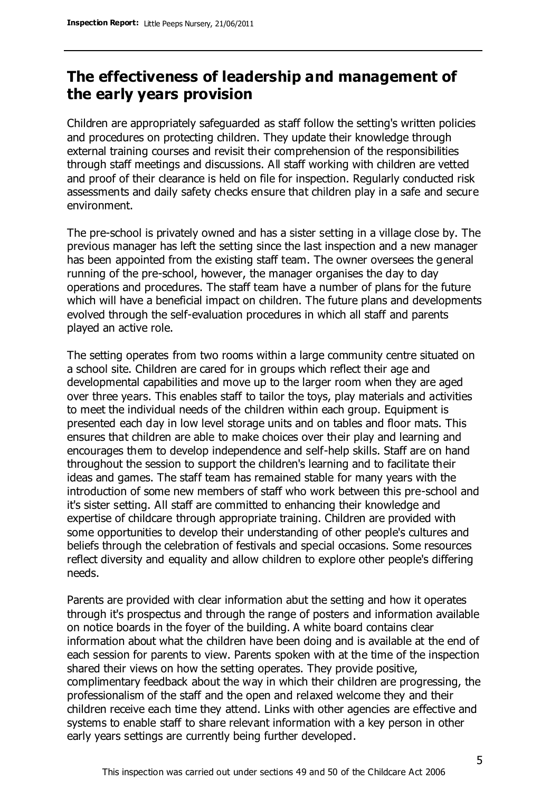# **The effectiveness of leadership and management of the early years provision**

Children are appropriately safeguarded as staff follow the setting's written policies and procedures on protecting children. They update their knowledge through external training courses and revisit their comprehension of the responsibilities through staff meetings and discussions. All staff working with children are vetted and proof of their clearance is held on file for inspection. Regularly conducted risk assessments and daily safety checks ensure that children play in a safe and secure environment.

The pre-school is privately owned and has a sister setting in a village close by. The previous manager has left the setting since the last inspection and a new manager has been appointed from the existing staff team. The owner oversees the general running of the pre-school, however, the manager organises the day to day operations and procedures. The staff team have a number of plans for the future which will have a beneficial impact on children. The future plans and developments evolved through the self-evaluation procedures in which all staff and parents played an active role.

The setting operates from two rooms within a large community centre situated on a school site. Children are cared for in groups which reflect their age and developmental capabilities and move up to the larger room when they are aged over three years. This enables staff to tailor the toys, play materials and activities to meet the individual needs of the children within each group. Equipment is presented each day in low level storage units and on tables and floor mats. This ensures that children are able to make choices over their play and learning and encourages them to develop independence and self-help skills. Staff are on hand throughout the session to support the children's learning and to facilitate their ideas and games. The staff team has remained stable for many years with the introduction of some new members of staff who work between this pre-school and it's sister setting. All staff are committed to enhancing their knowledge and expertise of childcare through appropriate training. Children are provided with some opportunities to develop their understanding of other people's cultures and beliefs through the celebration of festivals and special occasions. Some resources reflect diversity and equality and allow children to explore other people's differing needs.

Parents are provided with clear information abut the setting and how it operates through it's prospectus and through the range of posters and information available on notice boards in the foyer of the building. A white board contains clear information about what the children have been doing and is available at the end of each session for parents to view. Parents spoken with at the time of the inspection shared their views on how the setting operates. They provide positive, complimentary feedback about the way in which their children are progressing, the professionalism of the staff and the open and relaxed welcome they and their children receive each time they attend. Links with other agencies are effective and systems to enable staff to share relevant information with a key person in other early years settings are currently being further developed.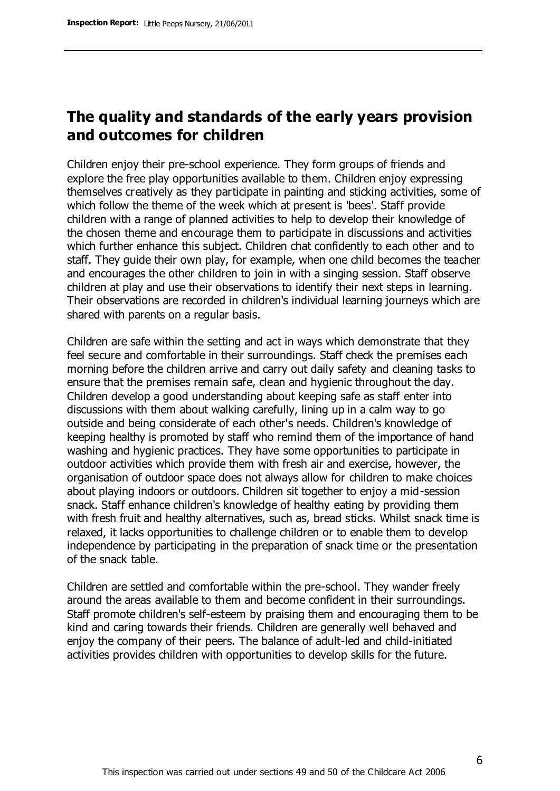# **The quality and standards of the early years provision and outcomes for children**

Children enjoy their pre-school experience. They form groups of friends and explore the free play opportunities available to them. Children enjoy expressing themselves creatively as they participate in painting and sticking activities, some of which follow the theme of the week which at present is 'bees'. Staff provide children with a range of planned activities to help to develop their knowledge of the chosen theme and encourage them to participate in discussions and activities which further enhance this subject. Children chat confidently to each other and to staff. They guide their own play, for example, when one child becomes the teacher and encourages the other children to join in with a singing session. Staff observe children at play and use their observations to identify their next steps in learning. Their observations are recorded in children's individual learning journeys which are shared with parents on a regular basis.

Children are safe within the setting and act in ways which demonstrate that they feel secure and comfortable in their surroundings. Staff check the premises each morning before the children arrive and carry out daily safety and cleaning tasks to ensure that the premises remain safe, clean and hygienic throughout the day. Children develop a good understanding about keeping safe as staff enter into discussions with them about walking carefully, lining up in a calm way to go outside and being considerate of each other's needs. Children's knowledge of keeping healthy is promoted by staff who remind them of the importance of hand washing and hygienic practices. They have some opportunities to participate in outdoor activities which provide them with fresh air and exercise, however, the organisation of outdoor space does not always allow for children to make choices about playing indoors or outdoors. Children sit together to enjoy a mid-session snack. Staff enhance children's knowledge of healthy eating by providing them with fresh fruit and healthy alternatives, such as, bread sticks. Whilst snack time is relaxed, it lacks opportunities to challenge children or to enable them to develop independence by participating in the preparation of snack time or the presentation of the snack table.

Children are settled and comfortable within the pre-school. They wander freely around the areas available to them and become confident in their surroundings. Staff promote children's self-esteem by praising them and encouraging them to be kind and caring towards their friends. Children are generally well behaved and enjoy the company of their peers. The balance of adult-led and child-initiated activities provides children with opportunities to develop skills for the future.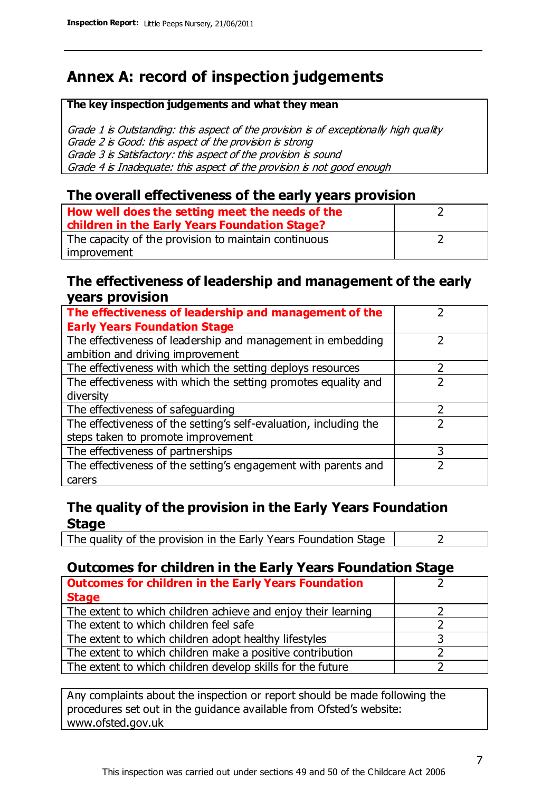# **Annex A: record of inspection judgements**

#### **The key inspection judgements and what they mean**

Grade 1 is Outstanding: this aspect of the provision is of exceptionally high quality Grade 2 is Good: this aspect of the provision is strong Grade 3 is Satisfactory: this aspect of the provision is sound Grade 4 is Inadequate: this aspect of the provision is not good enough

### **The overall effectiveness of the early years provision**

| How well does the setting meet the needs of the      |  |
|------------------------------------------------------|--|
| children in the Early Years Foundation Stage?        |  |
| The capacity of the provision to maintain continuous |  |
| improvement                                          |  |

#### **The effectiveness of leadership and management of the early years provision**

| The effectiveness of leadership and management of the             |   |
|-------------------------------------------------------------------|---|
| <b>Early Years Foundation Stage</b>                               |   |
| The effectiveness of leadership and management in embedding       |   |
| ambition and driving improvement                                  |   |
| The effectiveness with which the setting deploys resources        |   |
| The effectiveness with which the setting promotes equality and    |   |
| diversity                                                         |   |
| The effectiveness of safeguarding                                 |   |
| The effectiveness of the setting's self-evaluation, including the |   |
| steps taken to promote improvement                                |   |
| The effectiveness of partnerships                                 | 3 |
| The effectiveness of the setting's engagement with parents and    |   |
| carers                                                            |   |

## **The quality of the provision in the Early Years Foundation Stage**

The quality of the provision in the Early Years Foundation Stage  $\vert$  2

## **Outcomes for children in the Early Years Foundation Stage**

| <b>Outcomes for children in the Early Years Foundation</b>    |  |
|---------------------------------------------------------------|--|
| <b>Stage</b>                                                  |  |
| The extent to which children achieve and enjoy their learning |  |
| The extent to which children feel safe                        |  |
| The extent to which children adopt healthy lifestyles         |  |
| The extent to which children make a positive contribution     |  |
| The extent to which children develop skills for the future    |  |

Any complaints about the inspection or report should be made following the procedures set out in the guidance available from Ofsted's website: www.ofsted.gov.uk